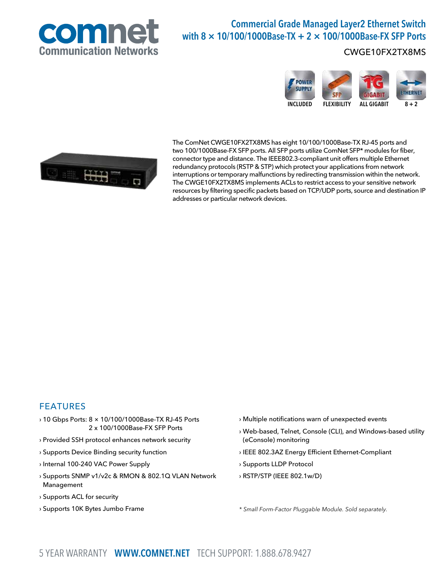

# Commercial Grade Managed Layer2 Ethernet Switch with  $8 \times 10/100/1000$ Base-TX + 2  $\times$  100/1000Base-FX SFP Ports

## CWGE10FX2TX8MS





The ComNet CWGE10FX2TX8MS has eight 10/100/1000Base-TX RJ-45 ports and two 100/1000Base-FX SFP ports. All SFP ports utilize ComNet SFP\* modules for fiber, connector type and distance. The IEEE802.3-compliant unit offers multiple Ethernet redundancy protocols (RSTP & STP) which protect your applications from network interruptions or temporary malfunctions by redirecting transmission within the network. The CWGE10FX2TX8MS implements ACLs to restrict access to your sensitive network resources by filtering specific packets based on TCP/UDP ports, source and destination IP addresses or particular network devices.

## FEATURES

- › 10 Gbps Ports: 8 × 10/100/1000Base-TX RJ-45 Ports 2 x 100/1000Base-FX SFP Ports
- › Provided SSH protocol enhances network security
- › Supports Device Binding security function
- › Internal 100-240 VAC Power Supply
- › Supports SNMP v1/v2c & RMON & 802.1Q VLAN Network Management
- › Supports ACL for security
- › Supports 10K Bytes Jumbo Frame
- › Multiple notifications warn of unexpected events
- › Web-based, Telnet, Console (CLI), and Windows-based utility (eConsole) monitoring
- › IEEE 802.3AZ Energy Efficient Ethernet-Compliant
- › Supports LLDP Protocol
- › RSTP/STP (IEEE 802.1w/D)

\* Small Form-Factor Pluggable Module. Sold separately.